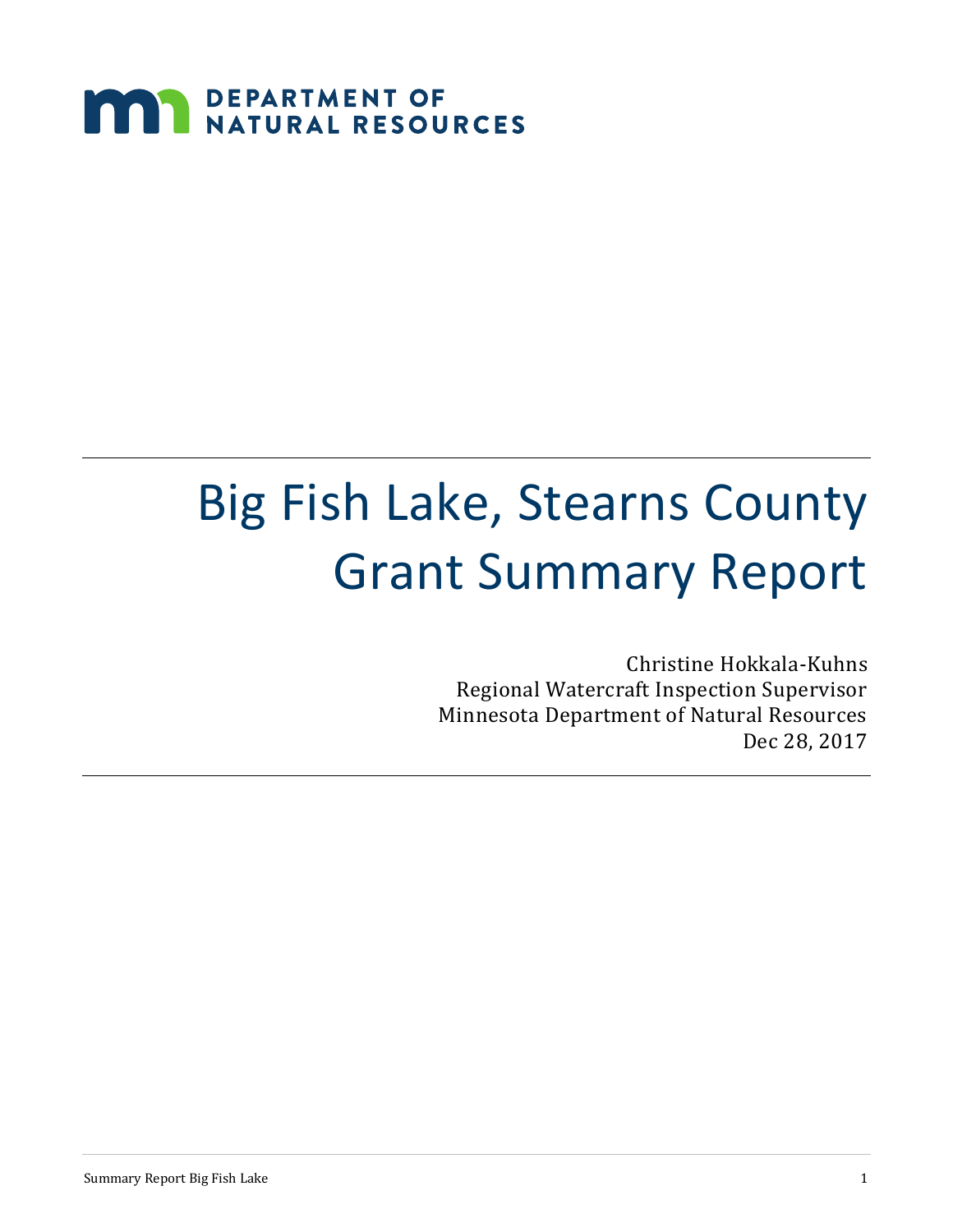# **MARIA DEPARTMENT OF NATURAL RESOURCES**

# Big Fish Lake, Stearns County Grant Summary Report

Christine Hokkala-Kuhns Regional Watercraft Inspection Supervisor Minnesota Department of Natural Resources Dec 28, 2017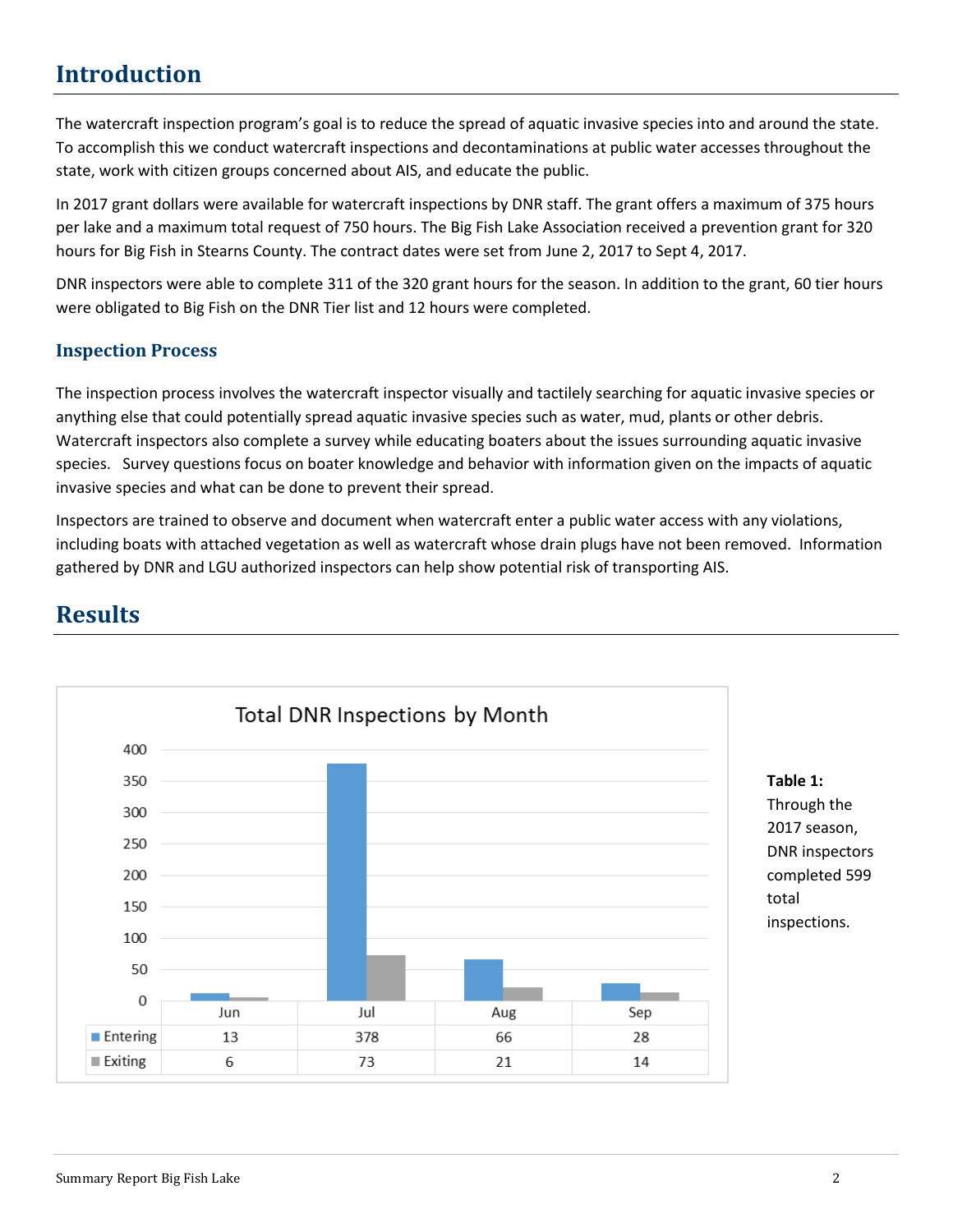# **Introduction**

The watercraft inspection program's goal is to reduce the spread of aquatic invasive species into and around the state. To accomplish this we conduct watercraft inspections and decontaminations at public water accesses throughout the state, work with citizen groups concerned about AIS, and educate the public.

In 2017 grant dollars were available for watercraft inspections by DNR staff. The grant offers a maximum of 375 hours per lake and a maximum total request of 750 hours. The Big Fish Lake Association received a prevention grant for 320 hours for Big Fish in Stearns County. The contract dates were set from June 2, 2017 to Sept 4, 2017.

DNR inspectors were able to complete 311 of the 320 grant hours for the season. In addition to the grant, 60 tier hours were obligated to Big Fish on the DNR Tier list and 12 hours were completed.

#### **Inspection Process**

The inspection process involves the watercraft inspector visually and tactilely searching for aquatic invasive species or anything else that could potentially spread aquatic invasive species such as water, mud, plants or other debris. Watercraft inspectors also complete a survey while educating boaters about the issues surrounding aquatic invasive species. Survey questions focus on boater knowledge and behavior with information given on the impacts of aquatic invasive species and what can be done to prevent their spread.

Inspectors are trained to observe and document when watercraft enter a public water access with any violations, including boats with attached vegetation as well as watercraft whose drain plugs have not been removed. Information gathered by DNR and LGU authorized inspectors can help show potential risk of transporting AIS.



# **Results**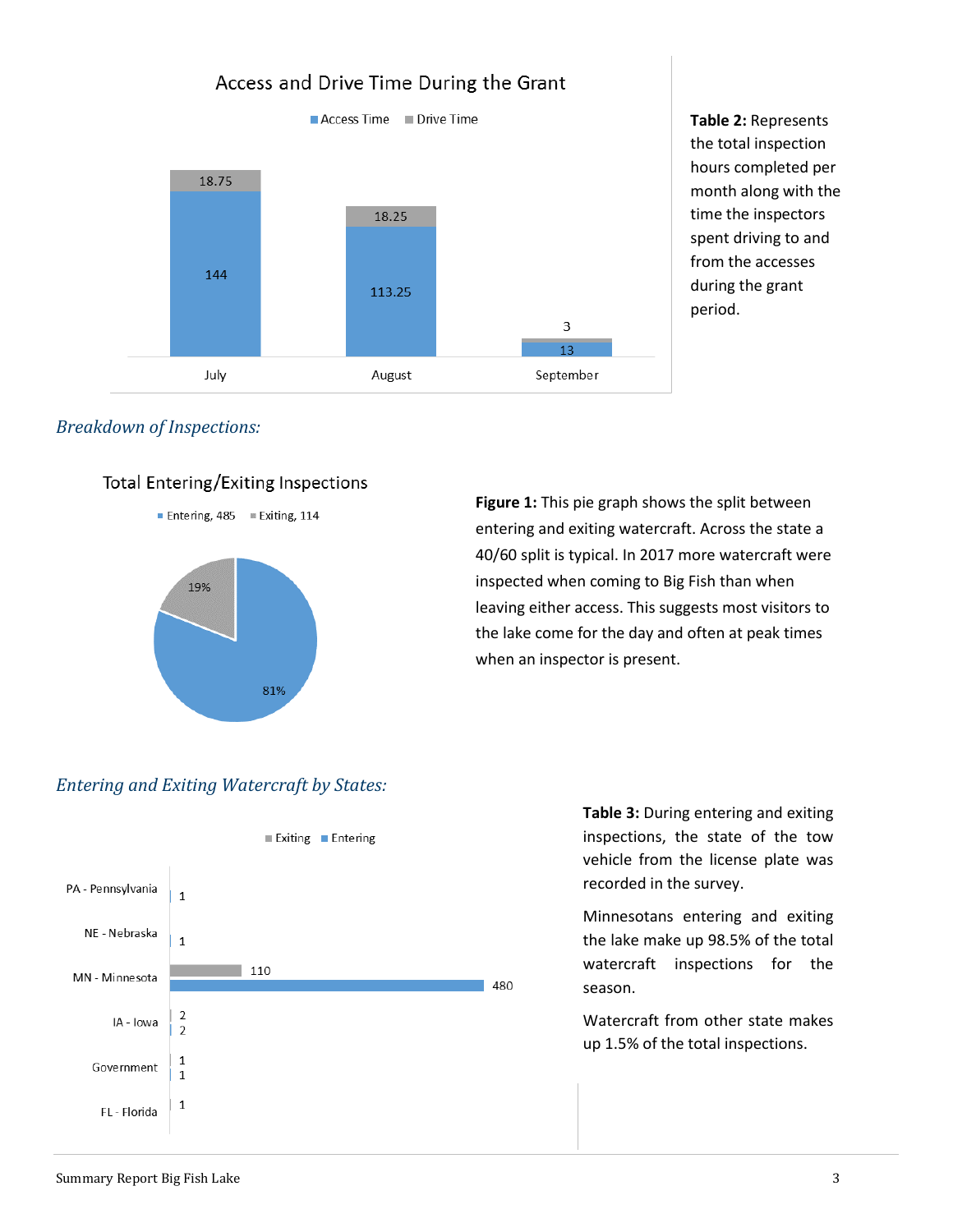# Access and Drive Time During the Grant



**Table 2:** Represents the total inspection hours completed per month along with the time the inspectors spent driving to and from the accesses during the grant period.

## *Breakdown of Inspections:*

## Total Entering/Exiting Inspections

Entering, 485 Exiting, 114



**Figure 1:** This pie graph shows the split between entering and exiting watercraft. Across the state a 40/60 split is typical. In 2017 more watercraft were inspected when coming to Big Fish than when leaving either access. This suggests most visitors to the lake come for the day and often at peak times when an inspector is present.

# *Entering and Exiting Watercraft by States:*



**Table 3:** During entering and exiting inspections, the state of the tow vehicle from the license plate was recorded in the survey.

Minnesotans entering and exiting the lake make up 98.5% of the total watercraft inspections for the season.

Watercraft from other state makes up 1.5% of the total inspections.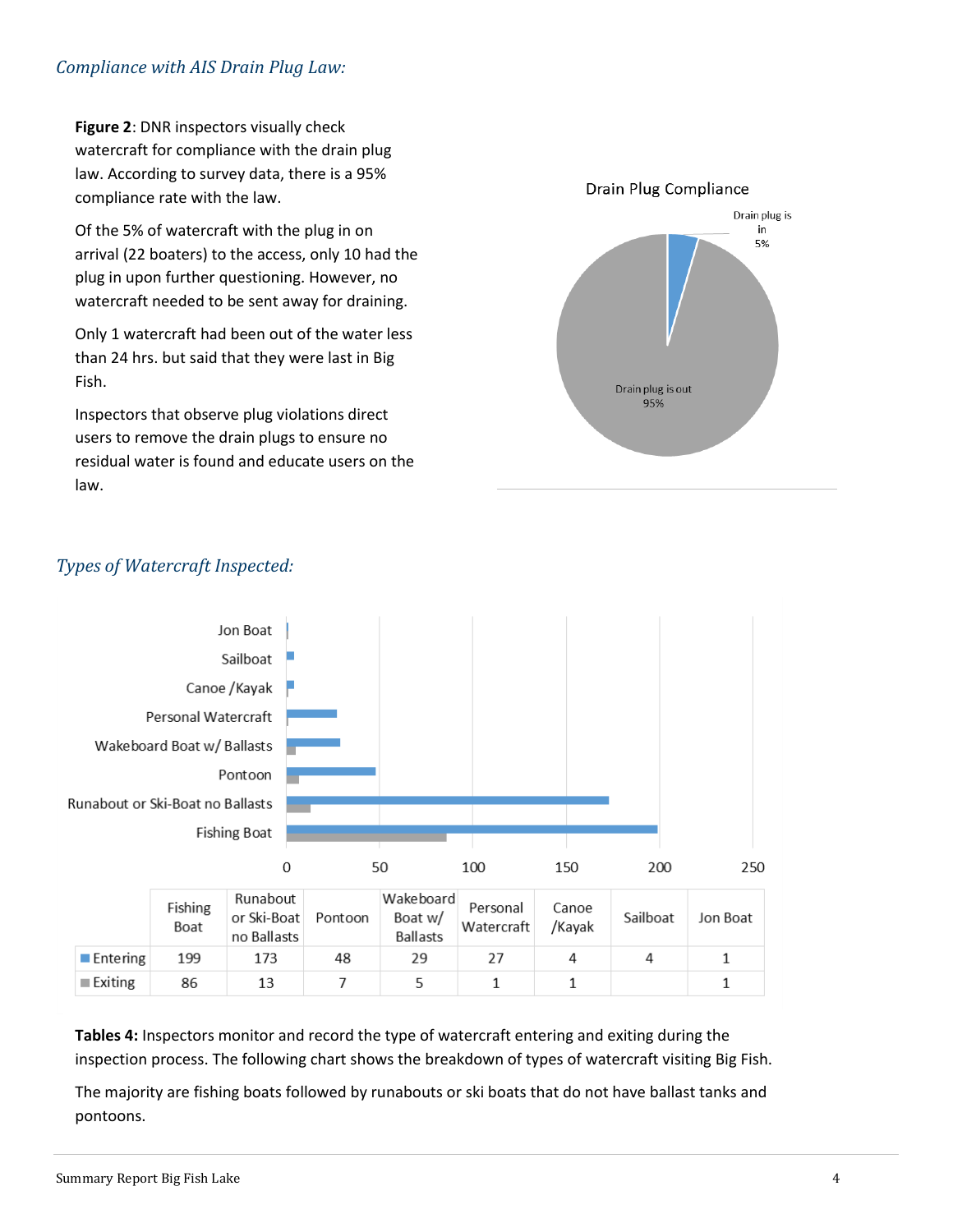## *Compliance with AIS Drain Plug Law:*

**Figure 2**: DNR inspectors visually check watercraft for compliance with the drain plug law. According to survey data, there is a 95% compliance rate with the law.

Of the 5% of watercraft with the plug in on arrival (22 boaters) to the access, only 10 had the plug in upon further questioning. However, no watercraft needed to be sent away for draining.

Only 1 watercraft had been out of the water less than 24 hrs. but said that they were last in Big Fish.

Inspectors that observe plug violations direct users to remove the drain plugs to ensure no residual water is found and educate users on the law.





# *Types of Watercraft Inspected:*

|                         | Fishing<br>Boat | Runabout<br>or Ski-Boat<br>no Ballasts | Pontoon | Wakeboard<br>Boat w/<br><b>Ballasts</b> | Personal<br>Watercraft | Canoe<br>/Kayak | Sailboat | Jon Boat |
|-------------------------|-----------------|----------------------------------------|---------|-----------------------------------------|------------------------|-----------------|----------|----------|
| $\blacksquare$ Entering | 199             | 173                                    | 48      | 29                                      |                        |                 |          |          |
| $\blacksquare$ Exiting  | 86              | 13                                     |         |                                         |                        |                 |          |          |

**Tables 4:** Inspectors monitor and record the type of watercraft entering and exiting during the inspection process. The following chart shows the breakdown of types of watercraft visiting Big Fish.

The majority are fishing boats followed by runabouts or ski boats that do not have ballast tanks and pontoons.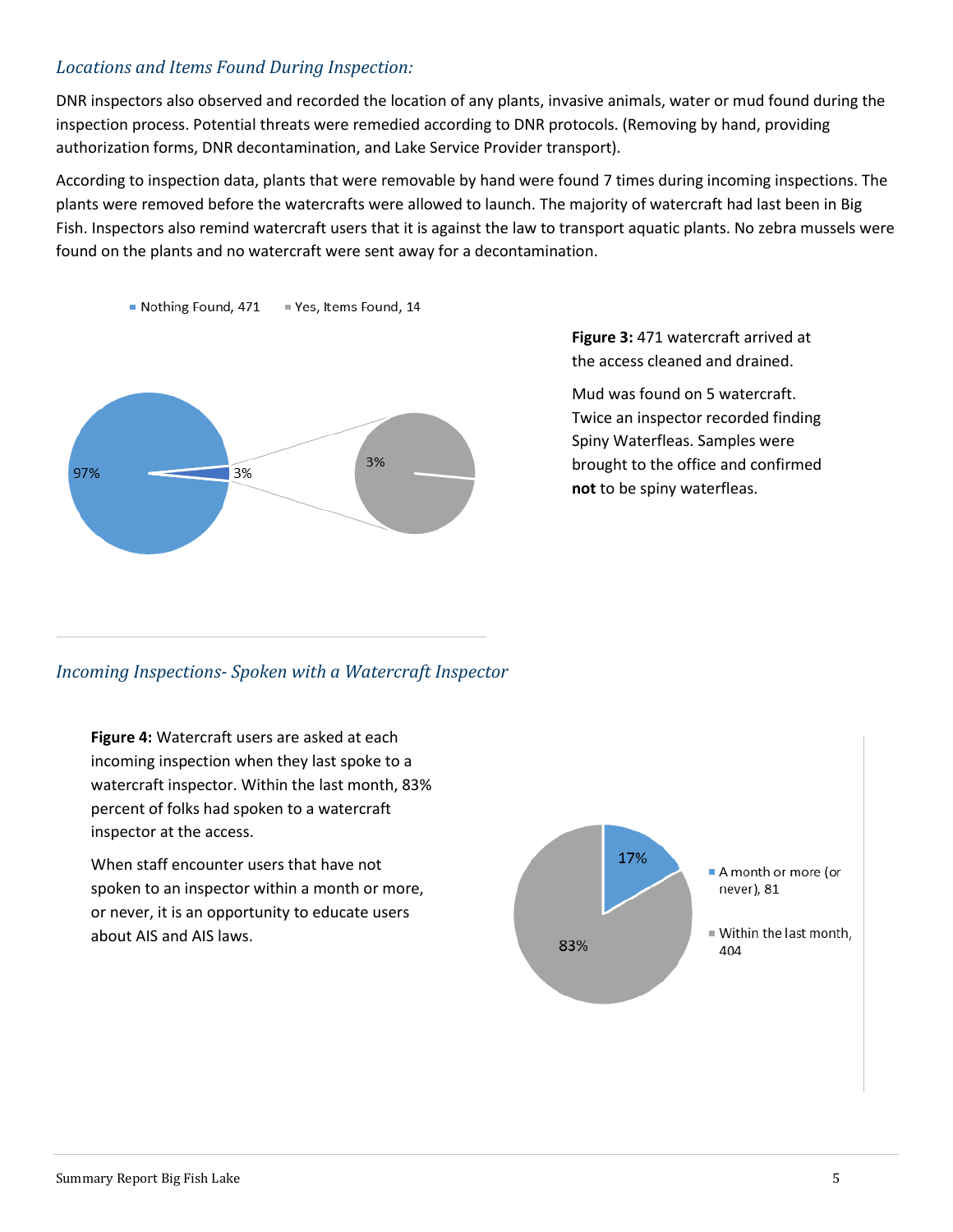## *Locations and Items Found During Inspection:*

DNR inspectors also observed and recorded the location of any plants, invasive animals, water or mud found during the inspection process. Potential threats were remedied according to DNR protocols. (Removing by hand, providing authorization forms, DNR decontamination, and Lake Service Provider transport).

According to inspection data, plants that were removable by hand were found 7 times during incoming inspections. The plants were removed before the watercrafts were allowed to launch. The majority of watercraft had last been in Big Fish. Inspectors also remind watercraft users that it is against the law to transport aquatic plants. No zebra mussels were found on the plants and no watercraft were sent away for a decontamination.





**Figure 3:** 471 watercraft arrived at the access cleaned and drained.

Mud was found on 5 watercraft. Twice an inspector recorded finding Spiny Waterfleas. Samples were brought to the office and confirmed **not** to be spiny waterfleas.

## *Incoming Inspections- Spoken with a Watercraft Inspector*

**Figure 4:** Watercraft users are asked at each incoming inspection when they last spoke to a watercraft inspector. Within the last month, 83% percent of folks had spoken to a watercraft inspector at the access.

When staff encounter users that have not spoken to an inspector within a month or more, or never, it is an opportunity to educate users about AIS and AIS laws.

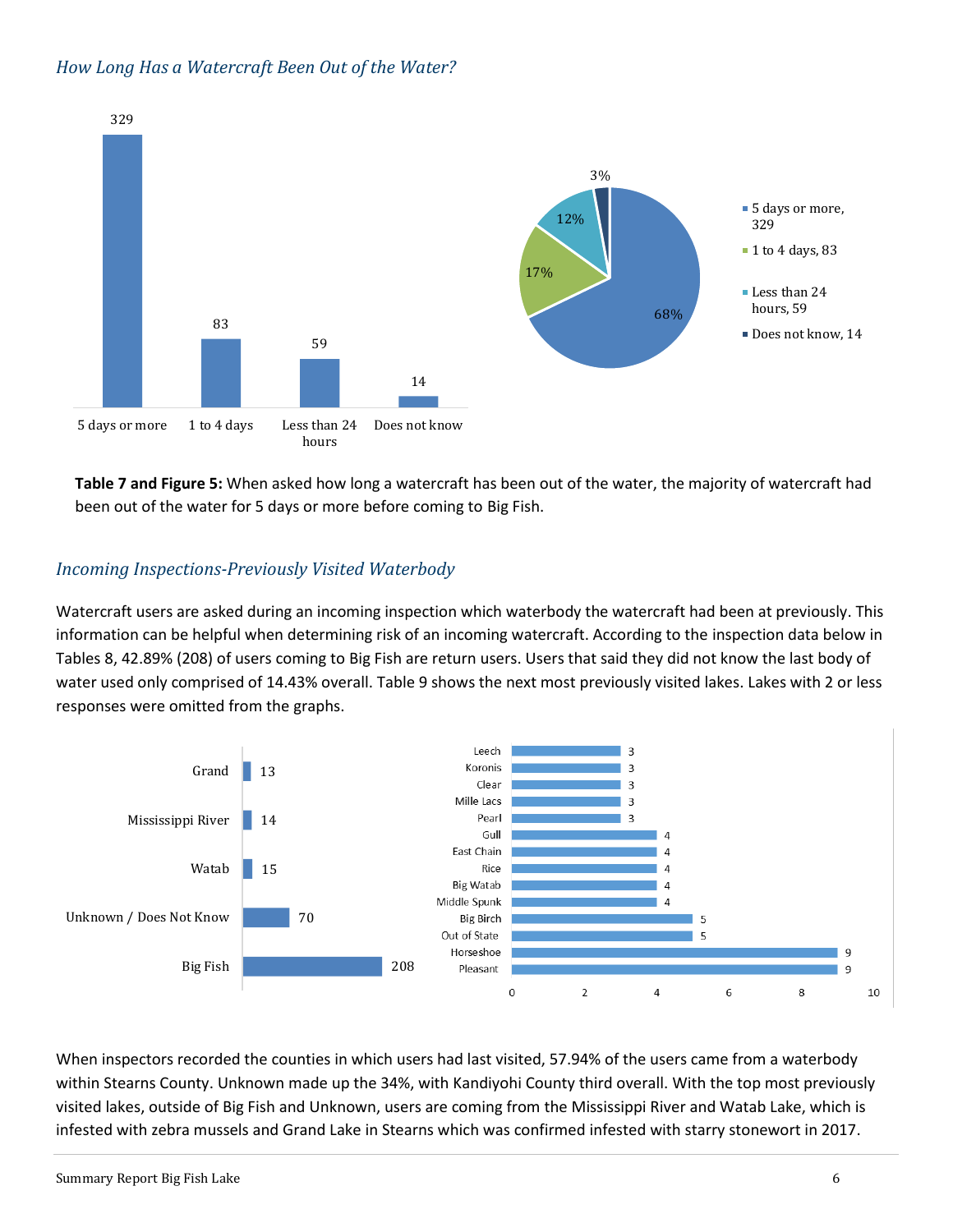### *How Long Has a Watercraft Been Out of the Water?*



**Table 7 and Figure 5:** When asked how long a watercraft has been out of the water, the majority of watercraft had been out of the water for 5 days or more before coming to Big Fish.

# *Incoming Inspections-Previously Visited Waterbody*

Watercraft users are asked during an incoming inspection which waterbody the watercraft had been at previously. This information can be helpful when determining risk of an incoming watercraft. According to the inspection data below in Tables 8, 42.89% (208) of users coming to Big Fish are return users. Users that said they did not know the last body of water used only comprised of 14.43% overall. Table 9 shows the next most previously visited lakes. Lakes with 2 or less responses were omitted from the graphs.



When inspectors recorded the counties in which users had last visited, 57.94% of the users came from a waterbody within Stearns County. Unknown made up the 34%, with Kandiyohi County third overall. With the top most previously visited lakes, outside of Big Fish and Unknown, users are coming from the Mississippi River and Watab Lake, which is infested with zebra mussels and Grand Lake in Stearns which was confirmed infested with starry stonewort in 2017.